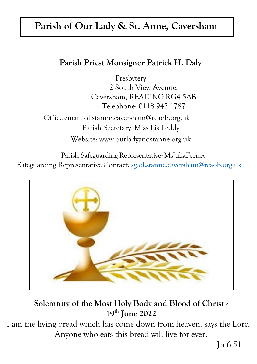# **Parish of Our Lady & St. Anne, Caversham**

### **Parish Priest Monsignor Patrick H. Daly**

Presbytery 2 South View Avenue, Caversham, READING RG4 5AB Telephone: 0118 947 1787

Office email: [ol.stanne.caversham@rcaob.org.uk](mailto:ol.stanne.caversham@rcaob.org.uk)  Parish Secretary: Miss Lis Leddy Website: [www.ourladyandstanne.org.uk](http://www.ourladyandstanne.org.uk/)

Parish Safeguarding Representative: MsJuliaFeeney Safeguarding Representative Contact: [sg.ol.stanne.caversham@rcaob.org.uk](mailto:sg.ol.stanne.caversham@rcaob.org.uk)



## **Solemnity of the Most Holy Body and Blood of Christ - 19th June 2022**

I am the living bread which has come down from heaven, says the Lord. Anyone who eats this bread will live for ever.

Jn 6:51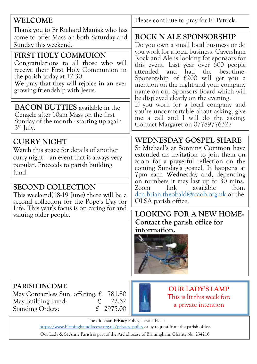| WELCOME                                                                                                                                                                                                            | Please continue to pray for Fr Patrick.                                                                                                                                                                                                                                                                                                                                                                                                                                                                                                                                        |  |
|--------------------------------------------------------------------------------------------------------------------------------------------------------------------------------------------------------------------|--------------------------------------------------------------------------------------------------------------------------------------------------------------------------------------------------------------------------------------------------------------------------------------------------------------------------------------------------------------------------------------------------------------------------------------------------------------------------------------------------------------------------------------------------------------------------------|--|
| Thank you to Fr Richard Maniak who has<br>come to offer Mass on both Saturday and<br>Sunday this weekend.                                                                                                          | <b>ROCK N ALE SPONSORSHIP</b><br>Do you own a small local business or do<br>you work for a local business. Caversham<br>Rock and Ale is looking for sponsors for<br>this event. Last year over 600 people<br>had the best time.<br>attended<br>and<br>Sponsorship of £200 will get you a<br>mention on the night and your company<br>name on our Sponsors Board which will<br>be displayed clearly on the evening.<br>If you work for a local company and<br>you're uncomfortable about asking, give<br>me a call and I will do the asking.<br>Contact Margaret on 07789776327 |  |
| FIRST HOLY COMMUION<br>Congratulations to all those who will<br>receive their First Holy Communion in<br>the parish today at 12.30.<br>We pray that they will rejoice in an ever<br>growing friendship with Jesus. |                                                                                                                                                                                                                                                                                                                                                                                                                                                                                                                                                                                |  |
| <b>BACON BUTTIES</b> available in the<br>Cenacle after 10am Mass on the first<br>Sunday of the month - starting up again<br>$3rd$ July.                                                                            |                                                                                                                                                                                                                                                                                                                                                                                                                                                                                                                                                                                |  |
| <b>CURRY NIGHT</b><br>Watch this space for details of another<br>curry night – an event that is always very<br>popular. Proceeds to parish building<br>fund.                                                       | WEDNESDAY GOSPEL SHARE<br>St Michael's at Sonning Common have<br>extended an invitation to join them on<br>zoom for a prayerful reflection on the<br>coming Sunday's gospel. It happens at<br>7pm each Wednesday and, depending<br>on numbers it may last up to 30 mins.<br>link<br>available<br>Zoom<br>from<br>dcn.brian.theobald@ <u>rcaob.org.uk</u> or the<br>OLSA parish office.<br><b>LOOKING FOR A NEW HOME:</b><br>Contact the parish office for<br>information.                                                                                                      |  |
| <b>SECOND COLLECTION</b><br>This weekend(18-19 June) there will be a<br>second collection for the Pope's Day for                                                                                                   |                                                                                                                                                                                                                                                                                                                                                                                                                                                                                                                                                                                |  |
| Life. This year's focus is on caring for and<br>valuing older people.                                                                                                                                              |                                                                                                                                                                                                                                                                                                                                                                                                                                                                                                                                                                                |  |
| <b>PARISH INCOME</b><br>May Contactless Sun. offering: $\mathfrak L$<br>781.80<br>May Building Fund:<br>22.62<br>£<br>2975.00<br><b>Standing Orders:</b><br>£                                                      | <b>OUR LADY'S LAMP</b><br>This is lit this week for:<br>a private intention                                                                                                                                                                                                                                                                                                                                                                                                                                                                                                    |  |

The diocesan Privacy Policy is available at

http[s://www.birminghamdiocese.org.uk/privacy- policy](http://www.birminghamdiocese.org.uk/privacy-policy) or by request from the parish office.

Our Lady & St Anne Parish is part of the Archdiocese of Birmingham, Charity No. 234216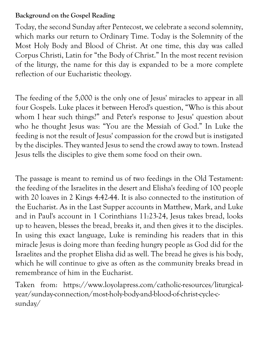#### **Background on the Gospel Reading**

Today, the second Sunday after Pentecost, we celebrate a second solemnity, which marks our return to Ordinary Time. Today is the Solemnity of the Most Holy Body and Blood of Christ. At one time, this day was called Corpus Christi, Latin for "the Body of Christ." In the most recent revision of the liturgy, the name for this day is expanded to be a more complete reflection of our Eucharistic theology.

The feeding of the 5,000 is the only one of Jesus' miracles to appear in all four Gospels. Luke places it between Herod's question, "Who is this about whom I hear such things?" and Peter's response to Jesus' question about who he thought Jesus was: "You are the Messiah of God." In Luke the feeding is not the result of Jesus' compassion for the crowd but is instigated by the disciples. They wanted Jesus to send the crowd away to town. Instead Jesus tells the disciples to give them some food on their own.

The passage is meant to remind us of two feedings in the Old Testament: the feeding of the Israelites in the desert and Elisha's feeding of 100 people with 20 loaves in 2 Kings 4:42-44. It is also connected to the institution of the Eucharist. As in the Last Supper accounts in Matthew, Mark, and Luke and in Paul's account in 1 Corinthians 11:23-24, Jesus takes bread, looks up to heaven, blesses the bread, breaks it, and then gives it to the disciples. In using this exact language, Luke is reminding his readers that in this miracle Jesus is doing more than feeding hungry people as God did for the Israelites and the prophet Elisha did as well. The bread he gives is his body, which he will continue to give as often as the community breaks bread in remembrance of him in the Eucharist.

Taken from: https://www.loyolapress.com/catholic-resources/liturgicalyear/sunday-connection/most-holy-body-and-blood-of-christ-cycle-csunday/